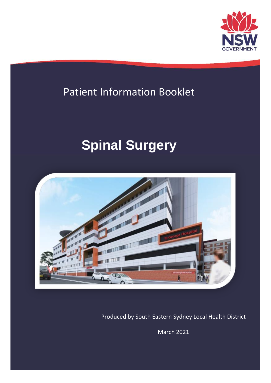

## Patient Information Booklet

# **Spinal Surgery**



Produced by South Eastern Sydney Local Health District

March 2021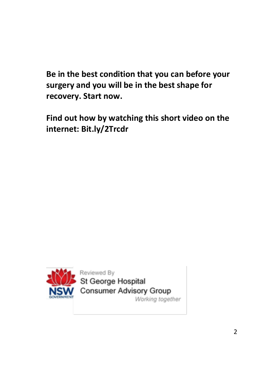**Be in the best condition that you can before your surgery and you will be in the best shape for recovery. Start now.**

**Find out how by watching this short video on the internet: Bit.ly/2Trcdr**



Reviewed By St George Hospital **Consumer Advisory Group** Working together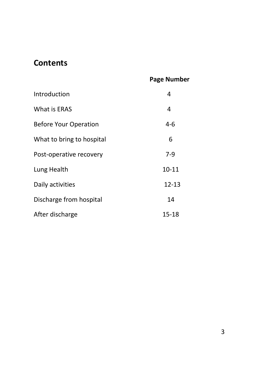## **Contents**

#### **Page Number**

| Introduction                 | 4         |
|------------------------------|-----------|
| What is ERAS                 | 4         |
| <b>Before Your Operation</b> | 4-6       |
| What to bring to hospital    | 6         |
| Post-operative recovery      | 7-9       |
| Lung Health                  | 10-11     |
| Daily activities             | $12 - 13$ |
| Discharge from hospital      | 14        |
| After discharge              | 15-18     |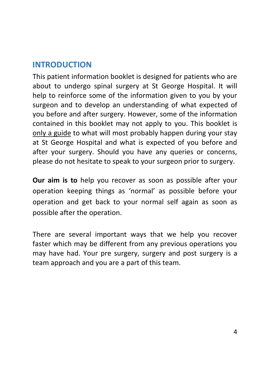## **INTRODUCTION**

This patient information booklet is designed for patients who are about to undergo spinal surgery at St George Hospital. It will help to reinforce some of the information given to you by your surgeon and to develop an understanding of what expected of you before and after surgery. However, some of the information contained in this booklet may not apply to you. This booklet is only a guide to what will most probably happen during your stay at St George Hospital and what is expected of you before and after your surgery. Should you have any queries or concerns, please do not hesitate to speak to your surgeon prior to surgery.

**Our aim is to** help you recover as soon as possible after your operation keeping things as 'normal' as possible before your operation and get back to your normal self again as soon as possible after the operation.

There are several important ways that we help you recover faster which may be different from any previous operations you may have had. Your pre surgery, surgery and post surgery is a team approach and you are a part of this team.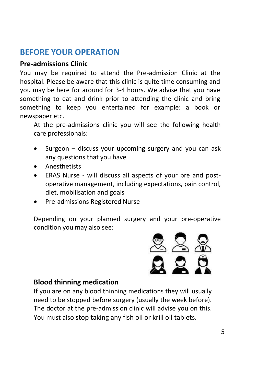## **BEFORE YOUR OPERATION**

#### **Pre-admissions Clinic**

You may be required to attend the Pre-admission Clinic at the hospital. Please be aware that this clinic is quite time consuming and you may be here for around for 3-4 hours. We advise that you have something to eat and drink prior to attending the clinic and bring something to keep you entertained for example: a book or newspaper etc.

At the pre-admissions clinic you will see the following health care professionals:

- Surgeon discuss your upcoming surgery and you can ask any questions that you have
- Anesthetists
- ERAS Nurse will discuss all aspects of your pre and postoperative management, including expectations, pain control, diet, mobilisation and goals
- Pre-admissions Registered Nurse

Depending on your planned surgery and your pre-operative condition you may also see:



#### **Blood thinning medication**

If you are on any blood thinning medications they will usually need to be stopped before surgery (usually the week before). The doctor at the pre-admission clinic will advise you on this. You must also stop taking any fish oil or krill oil tablets.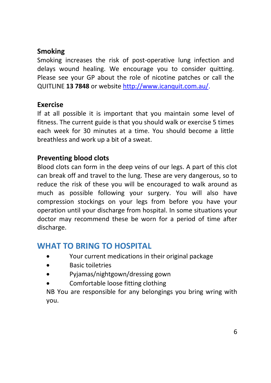#### **Smoking**

Smoking increases the risk of post-operative lung infection and delays wound healing. We encourage you to consider quitting. Please see your GP about the role of nicotine patches or call the QUITLINE **13 7848** or website [http://www.icanquit.com.au/.](http://www.icanquit.com.au/)

#### **Exercise**

If at all possible it is important that you maintain some level of fitness. The current guide is that you should walk or exercise 5 times each week for 30 minutes at a time. You should become a little breathless and work up a bit of a sweat.

#### **Preventing blood clots**

Blood clots can form in the deep veins of our legs. A part of this clot can break off and travel to the lung. These are very dangerous, so to reduce the risk of these you will be encouraged to walk around as much as possible following your surgery. You will also have compression stockings on your legs from before you have your operation until your discharge from hospital. In some situations your doctor may recommend these be worn for a period of time after discharge.

## **WHAT TO BRING TO HOSPITAL**

- Your current medications in their original package
- Basic toiletries
- Pyjamas/nightgown/dressing gown
- Comfortable loose fitting clothing

NB You are responsible for any belongings you bring wring with you.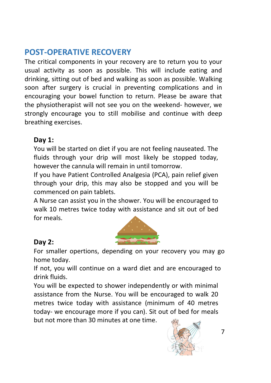## **POST-OPERATIVE RECOVERY**

The critical components in your recovery are to return you to your usual activity as soon as possible. This will include eating and drinking, sitting out of bed and walking as soon as possible. Walking soon after surgery is crucial in preventing complications and in encouraging your bowel function to return. Please be aware that the physiotherapist will not see you on the weekend- however, we strongly encourage you to still mobilise and continue with deep breathing exercises.

#### **Day 1:**

You will be started on diet if you are not feeling nauseated. The fluids through your drip will most likely be stopped today, however the cannula will remain in until tomorrow.

If you have Patient Controlled Analgesia (PCA), pain relief given through your drip, this may also be stopped and you will be commenced on pain tablets.

A Nurse can assist you in the shower. You will be encouraged to walk 10 metres twice today with assistance and sit out of bed for meals.



#### **Day 2:**

For smaller opertions, depending on your recovery you may go home today.

If not, you will continue on a ward diet and are encouraged to drink fluids.

You will be expected to shower independently or with minimal assistance from the Nurse. You will be encouraged to walk 20 metres twice today with assistance (minimum of 40 metres today- we encourage more if you can). Sit out of bed for meals but not more than 30 minutes at one time.

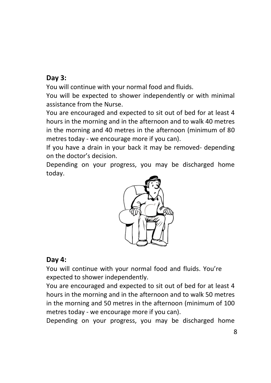#### **Day 3:**

You will continue with your normal food and fluids.

You will be expected to shower independently or with minimal assistance from the Nurse.

You are encouraged and expected to sit out of bed for at least 4 hours in the morning and in the afternoon and to walk 40 metres in the morning and 40 metres in the afternoon (minimum of 80 metres today - we encourage more if you can).

If you have a drain in your back it may be removed- depending on the doctor's decision.

Depending on your progress, you may be discharged home today.



#### **Day 4:**

You will continue with your normal food and fluids. You're expected to shower independently.

You are encouraged and expected to sit out of bed for at least 4 hours in the morning and in the afternoon and to walk 50 metres in the morning and 50 metres in the afternoon (minimum of 100 metres today - we encourage more if you can).

Depending on your progress, you may be discharged home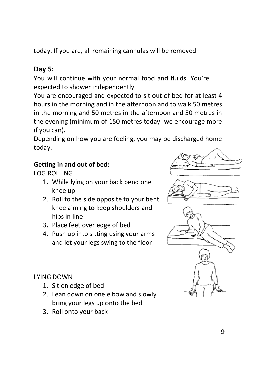today. If you are, all remaining cannulas will be removed.

#### **Day 5:**

You will continue with your normal food and fluids. You're expected to shower independently.

You are encouraged and expected to sit out of bed for at least 4 hours in the morning and in the afternoon and to walk 50 metres in the morning and 50 metres in the afternoon and 50 metres in the evening (minimum of 150 metres today- we encourage more if you can).

Depending on how you are feeling, you may be discharged home today.

#### **Getting in and out of bed:**

LOG ROLLING

- 1. While lying on your back bend one knee up
- 2. Roll to the side opposite to your bent knee aiming to keep shoulders and hips in line
- 3. Place feet over edge of bed
- 4. Push up into sitting using your arms and let your legs swing to the floor

#### LYING DOWN

- 1. Sit on edge of bed
- 2. Lean down on one elbow and slowly bring your legs up onto the bed
- 3. Roll onto your back

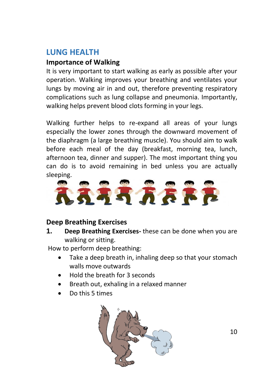## **LUNG HEALTH**

#### **Importance of Walking**

It is very important to start walking as early as possible after your operation. Walking improves your breathing and ventilates your lungs by moving air in and out, therefore preventing respiratory complications such as lung collapse and pneumonia. Importantly, walking helps prevent blood clots forming in your legs.

Walking further helps to re-expand all areas of your lungs especially the lower zones through the downward movement of the diaphragm (a large breathing muscle). You should aim to walk before each meal of the day (breakfast, morning tea, lunch, afternoon tea, dinner and supper). The most important thing you can do is to avoid remaining in bed unless you are actually sleeping.



#### **Deep Breathing Exercises**

**1. Deep Breathing Exercises-** these can be done when you are walking or sitting.

How to perform deep breathing:

- Take a deep breath in, inhaling deep so that your stomach walls move outwards
- Hold the breath for 3 seconds
- Breath out, exhaling in a relaxed manner
- Do this 5 times



10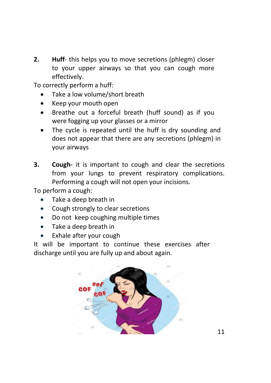**2. Huff**- this helps you to move secretions (phlegm) closer to your upper airways so that you can cough more effectively.

To correctly perform a huff:

- Take a low volume/short breath
- Keep your mouth open
- Breathe out a forceful breath (huff sound) as if you were fogging up your glasses or a mirror
- The cycle is repeated until the huff is dry sounding and does not appear that there are any secretions (phlegm) in your airways
- **3. Cough-** it is important to cough and clear the secretions from your lungs to prevent respiratory complications. Performing a cough will not open your incisions.

To perform a cough:

- Take a deep breath in
- Cough strongly to clear secretions
- Do not keep coughing multiple times
- Take a deep breath in
- Exhale after your cough

It will be important to continue these exercises after discharge until you are fully up and about again.

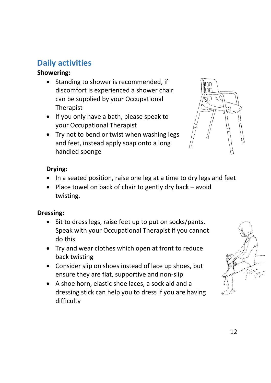## **Daily activities**

#### **Showering:**

- Standing to shower is recommended, if discomfort is experienced a shower chair can be supplied by your Occupational Therapist
- If you only have a bath, please speak to your Occupational Therapist
- Try not to bend or twist when washing legs and feet, instead apply soap onto a long handled sponge



#### **Drying:**

- In a seated position, raise one leg at a time to dry legs and feet
- Place towel on back of chair to gently dry back avoid twisting.

#### **Dressing:**

- Sit to dress legs, raise feet up to put on socks/pants. Speak with your Occupational Therapist if you cannot do this
- Try and wear clothes which open at front to reduce back twisting
- Consider slip on shoes instead of lace up shoes, but ensure they are flat, supportive and non-slip
- A shoe horn, elastic shoe laces, a sock aid and a dressing stick can help you to dress if you are having difficulty

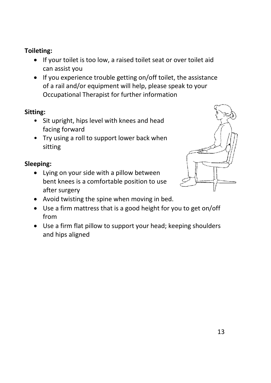#### **Toileting:**

- If your toilet is too low, a raised toilet seat or over toilet aid can assist you
- If you experience trouble getting on/off toilet, the assistance of a rail and/or equipment will help, please speak to your Occupational Therapist for further information

#### **Sitting:**

- Sit upright, hips level with knees and head facing forward
- Try using a roll to support lower back when sitting

#### **Sleeping:**

• Lying on your side with a pillow between bent knees is a comfortable position to use after surgery



- Avoid twisting the spine when moving in bed.
- Use a firm mattress that is a good height for you to get on/off from
- Use a firm flat pillow to support your head; keeping shoulders and hips aligned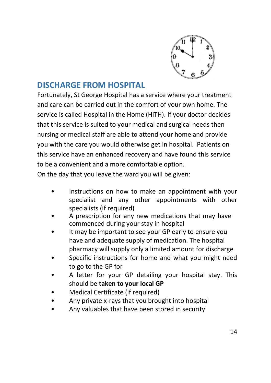

## **DISCHARGE FROM HOSPITAL**

Fortunately, St George Hospital has a service where your treatment and care can be carried out in the comfort of your own home. The service is called Hospital in the Home (HiTH). If your doctor decides that this service is suited to your medical and surgical needs then nursing or medical staff are able to attend your home and provide you with the care you would otherwise get in hospital. Patients on this service have an enhanced recovery and have found this service to be a convenient and a more comfortable option.

On the day that you leave the ward you will be given:

- Instructions on how to make an appointment with your specialist and any other appointments with other specialists (if required)
- A prescription for any new medications that may have commenced during your stay in hospital
- It may be important to see your GP early to ensure you have and adequate supply of medication. The hospital pharmacy will supply only a limited amount for discharge
- Specific instructions for home and what you might need to go to the GP for
- A letter for your GP detailing your hospital stay. This should be **taken to your local GP**
- Medical Certificate (if required)
- Any private x-rays that you brought into hospital
- Any valuables that have been stored in security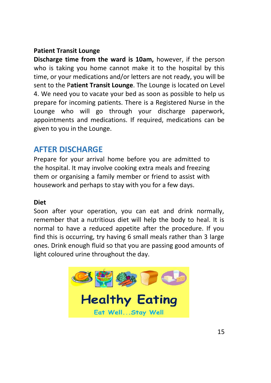#### **Patient Transit Lounge**

**Discharge time from the ward is 10am,** however, if the person who is taking you home cannot make it to the hospital by this time, or your medications and/or letters are not ready, you will be sent to the P**atient Transit Lounge**. The Lounge is located on Level 4. We need you to vacate your bed as soon as possible to help us prepare for incoming patients. There is a Registered Nurse in the Lounge who will go through your discharge paperwork, appointments and medications. If required, medications can be given to you in the Lounge.

## **AFTER DISCHARGE**

Prepare for your arrival home before you are admitted to the hospital. It may involve cooking extra meals and freezing them or organising a family member or friend to assist with housework and perhaps to stay with you for a few days.

#### **Diet**

Soon after your operation, you can eat and drink normally, remember that a nutritious diet will help the body to heal. It is normal to have a reduced appetite after the procedure. If you find this is occurring, try having 6 small meals rather than 3 large ones. Drink enough fluid so that you are passing good amounts of light coloured urine throughout the day.

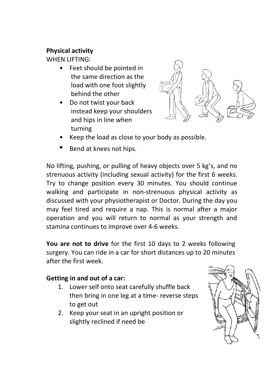#### **Physical activity**

WHEN LIFTING:

- Feet should be pointed in the same direction as the load with one foot slightly behind the other
- Do not twist your back instead keep your shoulders and hips in line when turning



- Keep the load as close to your body as possible.
- Bend at knees not hips.

No lifting, pushing, or pulling of heavy objects over 5 kg's, and no strenuous activity (including sexual activity) for the first 6 weeks. Try to change position every 30 minutes. You should continue walking and participate in non-strenuous physical activity as discussed with your physiotherapist or Doctor. During the day you may feel tired and require a nap. This is normal after a major operation and you will return to normal as your strength and stamina continues to improve over 4-6 weeks.

**You are not to drive** for the first 10 days to 2 weeks following surgery. You can ride in a car for short distances up to 20 minutes after the first week.

#### **Getting in and out of a car:**

- 1. Lower self onto seat carefully shuffle back then bring in one leg at a time- reverse steps to get out
- 2. Keep your seat in an upright position or slightly reclined if need be

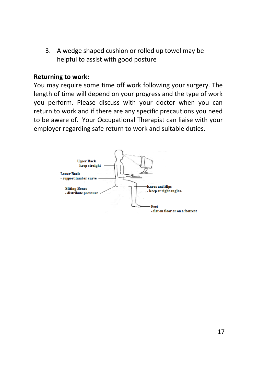3. A wedge shaped cushion or rolled up towel may be helpful to assist with good posture

#### **Returning to work:**

You may require some time off work following your surgery. The length of time will depend on your progress and the type of work you perform. Please discuss with your doctor when you can return to work and if there are any specific precautions you need to be aware of. Your Occupational Therapist can liaise with your employer regarding safe return to work and suitable duties.